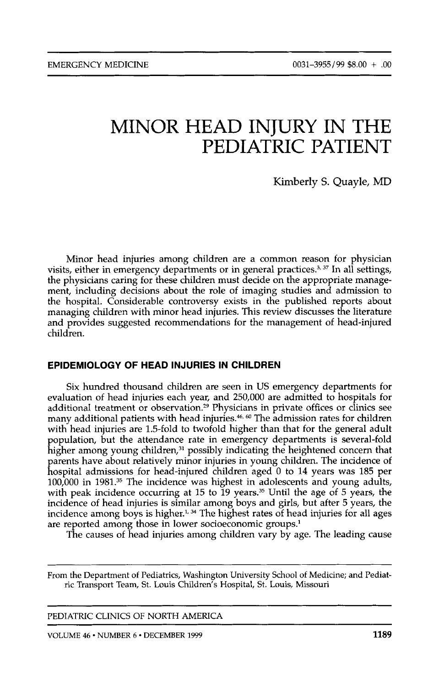# MINOR HEAD INJURY IN THE PEDIATRIC PATIENT

Kimberly S. Quayle, MD

Minor head injuries among children are a common reason for physician visits, either in emergency departments or in general practices.<sup>3, 37</sup> In all settings, the physicians caring for these children must decide on the appropriate management, including decisions about the role of imaging studies and admission to the hospital. Considerable controversy exists in the published reports about managing children with minor head injuries. This review discusses the literature and provides suggested recommendations for the management of head-injured children.

# **EPIDEMIOLOGY OF HEAD INJURIES IN CHILDREN**

Six hundred thousand children are seen in US emergency departments for evaluation of head injuries each year, and 250,000 are admitted to hospitals for additional treatment or observation.<sup>29</sup> Physicians in private offices or clinics see many additional patients with head injuries.46, *6o* The admission rates for children with head injuries are 1.5-fold to twofold higher than that for the general adult population, but the attendance rate in emergency departments is several-fold higher among young children,<sup>31</sup> possibly indicating the heightened concern that parents have about relatively minor injuries in young children. The incidence of hospital admissions for head-injured children aged 0 to 14 years was 185 per 100,000 in 1981.35 The incidence was highest in adolescents and young adults, with peak incidence occurring at 15 to 19 years.35 Until the age of *5* years, the incidence of head injuries is similar among boys and girls, but after *5* years, the incidence among boys is higher.<sup>1.34</sup> The highest rates of head injuries for all ages are reported among those in lower socioeconomic groups.<sup>1</sup>

The causes of head injuries among children vary by age. The leading cause

From the Department **of** Pediatrics, Washington University School of Medicine; and Pediatric Transport Team, St. Louis Children's Hospital, St. Louis, Missouri

PEDIATRIC CLINICS OF NORTH AMERICA

~ ~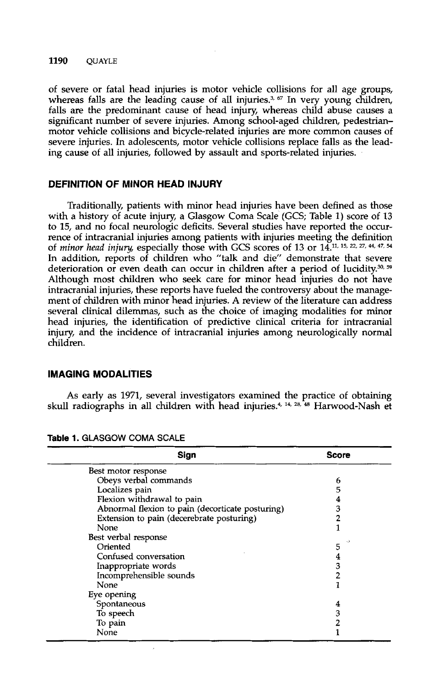## **1190 QUAYLE**

of severe or fatal head injuries is motor vehicle collisions for all age groups, whereas falls are the leading cause of all injuries.<sup>3, 67</sup> In very young children, falls are the predominant cause of head injury, whereas child abuse causes a significant number of severe injuries. Among school-aged children, pedestrianmotor vehicle collisions and bicycle-related injuries are more common causes of severe injuries. In adolescents, motor vehicle collisions replace falls as the leading cause of all injuries, followed by assault and sports-related injuries.

# **DEFINITION OF MINOR HEAD INJURY**

Traditionally, patients with minor head injuries have been defined as those with a history of acute injury, a Glasgow Coma Scale (GCS; Table 1) score of **<sup>13</sup>** to 15, and no focal neurologic deficits. Several studies have reported the occurrence of intracranial injuries among patients with injuries meeting the definition of *minor head injury,* especially those with GCS scores of **13** or 14.". **15, 27,** \*, **47,** *<sup>54</sup>* In addition, reports of children who "talk and die" demonstrate that severe deterioration or even death can occur in children after a period of lucidity.<sup>30, 59</sup> Although most children who seek care for minor head injuries do not have intracranial injuries, these reports have fueled the controversy about the management of children with minor head injuries. A review of the literature can address several clinical dilemmas, such as the choice of imaging modalities for minor head injuries, the identification of predictive clinical criteria for intracranial injury, and the incidence of intracranial injuries among neurologically normal children.

## **IMAGING MODALITIES**

As early as 1971, several investigators examined the practice of obtaining skull radiographs in all children with head injuries.<sup>4, 14, 28, 48</sup> Harwood-Nash et

| Sign                                             | <b>Score</b> |
|--------------------------------------------------|--------------|
| Best motor response                              |              |
| Obeys verbal commands                            | 6            |
| Localizes pain                                   | 5            |
| Flexion withdrawal to pain                       |              |
| Abnormal flexion to pain (decorticate posturing) | 3            |
| Extension to pain (decerebrate posturing)        | 2            |
| None                                             |              |
| Best verbal response                             |              |
| Oriented                                         | 5            |
| Confused conversation                            | 4            |
| Inappropriate words                              | з            |
| Incomprehensible sounds                          | 2            |
| None                                             |              |
| Eye opening                                      |              |
| Spontaneous                                      | 4            |
| To speech                                        | 3            |
| To pain                                          | 2            |
| None                                             |              |

Table 1. GLASGOW COMA SCALE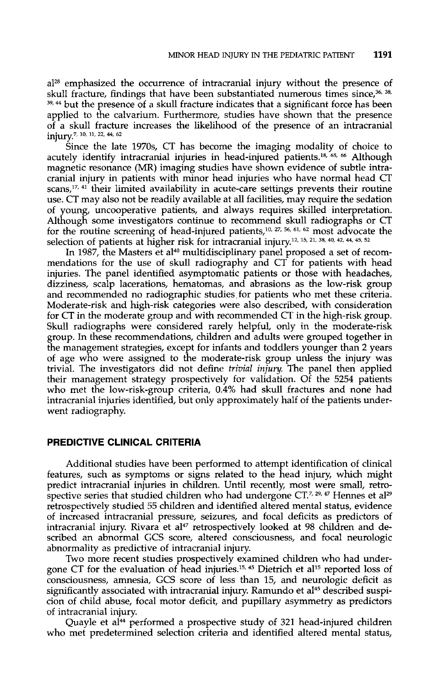al<sup>28</sup> emphasized the occurrence of intracranial injury without the presence of skull fracture, findings that have been substantiated numerous times since,36, **38, 39,44** but the presence of a skull fracture indicates that a significant force has been applied to the calvarium. Furthermore, studies have shown that the presence of a skull fracture increases the likelihood of the presence of an intracranial injury.7, **10,** 11. **22. 44, <sup>62</sup>**

Since the late 1970s, CT has become the imaging modality of choice to acutely identify intracranial injuries in head-injured patients.<sup>18, 65, 66</sup> Although magnetic resonance (MR) imaging studies have shown evidence of subtle intracranial injury in patients with minor head injuries who have normal head CT scans,<sup>17, 41</sup> their limited availability in acute-care settings prevents their routine use. CT may also not be readily available at all facilities, may require the sedation of young, uncooperative patients, and always requires skilled interpretation. Although some investigators continue to recommend skull radiographs or CT for the routine screening of head-injured patients,<sup>10, 27, 56, 61, 62</sup> most advocate the selection of patients at higher risk for intracranial injury.12, **15, 38, 40, 42, 44, 45s <sup>52</sup>**

In 1987, the Masters et al<sup>40</sup> multidisciplinary panel proposed a set of recommendations for the use of skull radiography and CT for patients with head injuries. The panel identified asymptomatic patients or those with headaches, dizziness, scalp lacerations, hematomas, and abrasions as the low-risk group and recommended no radiographic studies, for patients who met these criteria. Moderate-risk and high-risk categories were also described, with consideration for CT in the moderate group and with recommended CT in the high-risk group. Skull radiographs were considered rarely helpful, only in the moderate-risk group. In these recommendations, children and adults were grouped together in the management strategies, except for infants and toddlers younger than **2** years of age who were assigned to the moderate-risk group unless the injury was trivial. The investigators did not define *trivial injury.* The panel then applied their management strategy prospectively for validation. Of the 5254 patients who met the low-risk-group criteria, 0.4% had skull fractures and none had intracranial injuries identified, but only approximately half of the patients underwent radiography.

# **PREDICTIVE CLINICAL CRITERIA**

Additional studies have been performed to attempt identification of clinical features, such as symptoms or signs related to the head injury, which might predict intracranial injuries in children. Until recently, most were small, retrospective series that studied children who had undergone  $CT<sup>7, 29, 47</sup>$  Hennes et al<sup>29</sup> retrospectively studied 55 children and identified altered mental status, evidence of increased intracranial pressure, seizures, and focal deficits as predictors of intracranial injury. Rivara et al<sup>47</sup> retrospectively looked at 98 children and described an abnormal GCS score, altered consciousness, and focal neurologic abnormality as predictive of intracranial injury.

Two more recent studies prospectively examined children who had undergone CT for the evaluation of head injuries.<sup>15, 45</sup> Dietrich et al<sup>15</sup> reported loss of consciousness, amnesia, GCS score of less than 15, and neurologic deficit as significantly associated with intracranial injury. Ramundo et al<sup>45</sup> described suspicion of child abuse, focal motor deficit, and pupillary asymmetry as predictors of intracranial injury.

Quayle et al<sup>44</sup> performed a prospective study of 321 head-injured children who met predetermined selection criteria and identified altered mental status,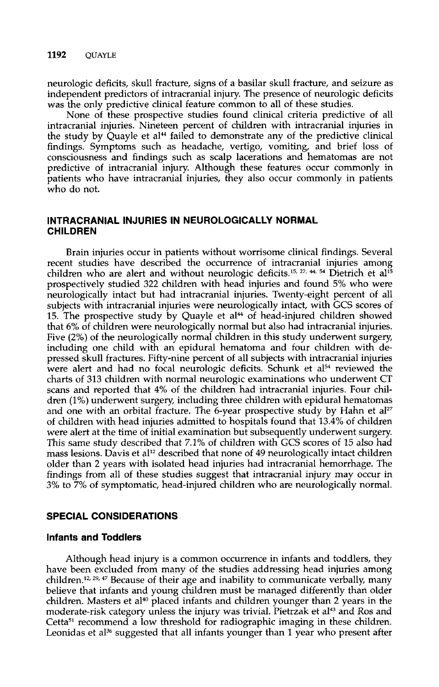neurologic deficits, skull fracture, signs of a basilar skull fracture, and seizure as independent predictors of intracranial injury. The presence of neurologic deficits was the only predictive clinical feature common to all of these studies.

None of these prospective studies found clinical criteria predictive of all intracranial injuries. Nineteen percent of children with intracranial injuries in the study by Quayle et al<sup>44</sup> failed to demonstrate any of the predictive clinical findings. Symptoms such as headache, vertigo, vomiting, and brief loss of consciousness and findings such as scalp lacerations and hematomas are not predictive of intracranial injury. Although these features occur commonly in patients who have intracranial injuries, they also occur commonly in patients who do not.

# **INTRACRANIAL INJURIES IN NEUROLOGICALLY NORMAL CHILDREN**

Brain injuries occur in patients without worrisome clinical findings. Several recent studies have described the occurrence of intracranial injuries among children who are alert and without neurologic deficits.<sup>15, 27, 44, 54</sup> Dietrich et al<sup>15</sup> prospectively studied **322** children with head injuries and found 5% who were neurologically intact but had intracranial injuries. Twenty-eight percent of all subjects with intracranial injuries were neurologically intact, with GCS scores of 15. The prospective study by Quayle et al<sup>44</sup> of head-injured children showed that 6% of children were neurologically normal but also had intracranial injuries. Five **(2%)** of the neurologically normal children in this study underwent surgery, including one child with an epidural hematoma and four children with depressed skull fractures. Fifty-nine percent of all subjects with intracranial injuries were alert and had no focal neurologic deficits. Schunk et a154 reviewed the charts of **313** children with normal neurologic examinations who underwent CT scans and reported that **4%** of the children had intracranial injuries. Four children **(1%)** underwent surgery, including three children with epidural hematomas and one with an orbital fracture. The 6-year prospective study by Hahn et al<sup>27</sup> of children with head injuries admitted to hospitals found that **13.4%** of children were alert at the time of initial examination but subsequently underwent surgery. This same study described that **7.1%** of children with GCS scores of **15** also had mass lesions. Davis et al<sup>12</sup> described that none of 49 neurologically intact children older than **2** years with isolated head injuries had intracranial hemorrhage. The findings from all of these studies suggest that intracranial injury may occur in **3%** to **7%** of symptomatic, head-injured cluldren who are neurologically normal.

# **SPECIAL CONSIDERATIONS**

## **Infants and Toddlers**

Although head injury is **a** common occurrence in infants and toddlers, they have been excluded from many of the studies addressing head injuries among children.<sup>12, 29, 47</sup> Because of their age and inability to communicate verbally, many believe that infants and young children must be managed differently than older children. Masters et al<sup>40</sup> placed infants and children younger than 2 years in the moderate-risk category unless the injury was trivial. Pietrzak et al<sup>43</sup> and Ros and Cetta<sup>51</sup> recommend a low threshold for radiographic imaging in these children. Leonidas et a136 suggested that all infants younger than **1** year who present after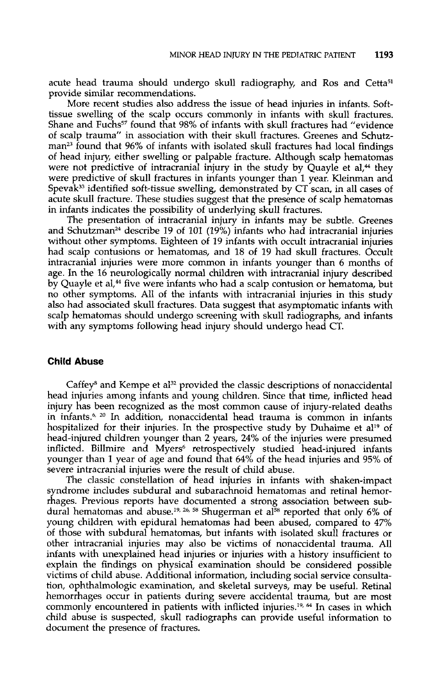acute head trauma should undergo skull radiography, and Ros and Cetta<sup>51</sup> provide similar recommendations.

More recent studies also address the issue of head injuries in infants. Softtissue swelling of the scalp occurs commonly in infants with skull fractures. Shane and Fuchs<sup>57</sup> found that 98% of infants with skull fractures had "evidence of scalp trauma" in association with their skull fractures. Greenes and Schutzman<sup>23</sup> found that 96% of infants with isolated skull fractures had local findings of head injury, either swelling or palpable fracture. Although scalp hematomas were not predictive of intracranial injury in the study by Quayle et al,<sup>44</sup> they were predictive of skull fractures in infants younger than 1 year. Kleinman and Spevak<sup>33</sup> identified soft-tissue swelling, demonstrated by  $CT$  scan, in all cases of acute skull fracture. These studies suggest that the presence of scalp hematomas in infants indicates the possibility of underlying skull fractures.

The presentation of intracranial injury in infants may be subtle. Greenes and Schutzman<sup>24</sup> describe 19 of 101 (19%) infants who had intracranial injuries without other symptoms. Eighteen of 19 infants with occult intracranial injuries had scalp contusions or hematomas, and 18 of 19 had skull fractures. Occult intracranial injuries were more common in infants younger than 6 months of age. In the **16** neurologically normal children with intracranial injury described by Quayle et al,<sup>44</sup> five were infants who had a scalp contusion or hematoma, but no other symptoms. All of the infants with intracranial injuries in this study also had associated skull fractures. Data suggest that asymptomatic infants with scalp hematomas should undergo screening with skull radiographs, and infants with any symptoms following head injury should undergo head CT.

#### **Child Abuse**

Caffey<sup>8</sup> and Kempe et al<sup>32</sup> provided the classic descriptions of nonaccidental head injuries among infants and young children. Since that time, inflicted head injury has been recognized as the most common cause of injury-related deaths in infants.<sup>6, 20</sup> In addition, nonaccidental head trauma is common in infants hospitalized for their injuries. In the prospective study by Duhaime et al<sup>19</sup> of head-injured children younger than **2** years, **24%** of the injuries were presumed inflicted. Billmire and Myers<sup>6</sup> retrospectively studied head-injured infants younger than 1 year of age and found that *64%* of the head injuries and 95% of severe intracranial injuries were the result of child abuse.

The classic constellation of head injuries in infants with shaken-impact syndrome includes subdural and subarachnoid hematomas and retinal hemorrhages. Previous reports have documented a strong association between subdural hematomas and abuse.<sup>19, 26, 58</sup> Shugerman et al<sup>58</sup> reported that only 6% of young children with epidural hematomas had been abused, compared to **47%**  of those with subdural hematomas, but infants with isolated skull fractures or other intracranial injuries may also be victims of nonaccidental trauma. All infants with unexplained head injuries or injuries with a history insufficient to explain the findings on physical examination should be considered possible victims of child abuse. Additional information, including social service consultation, ophthalmologic examination, and skeletal surveys, may be useful. Retinal hemorrhages occur in patients during severe accidental trauma, but are most commonly encountered in patients with inflicted injuries.<sup>19, 64</sup> In cases in which child abuse is suspected, skull radiographs can provide useful information to document the presence of fractures.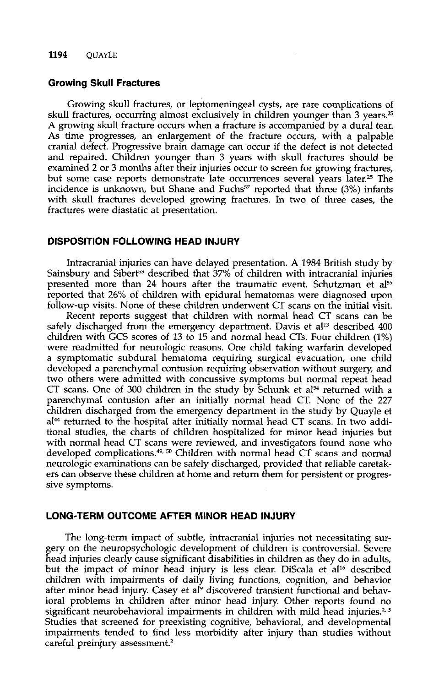#### **Growing Skull Fractures**

Growing skull fractures, or leptomeningeal cysts, are rare complications of skull fractures, occurring almost exclusively in children younger than 3 years.<sup>25</sup> **A** growing skull fracture occurs when a fracture is accompanied by a dural tear. **As** time progresses, an enlargement of the fracture occurs, with a palpable cranial defect. Progressive brain damage can occur if the defect is not detected and repaired. Children younger than *3* years with skull fractures should be examined 2 or *3* months after their injuries occur to screen for growing fractures, but some case reports demonstrate late occurrences several years later.<sup>25</sup> The incidence is unknown, but Shane and Fuchs<sup>57</sup> reported that three (3%) infants with skull fractures developed growing fractures. In two of three cases, the fractures were diastatic at presentation.

#### **DISPOSITION FOLLOWING HEAD INJURY**

Intracranial injuries can have delayed presentation. **A** 1984 British study by Sainsbury and Sibert<sup>53</sup> described that 37% of children with intracranial injuries presented more than 24 hours after the traumatic event. Schutzman et al<sup>55</sup> reported that **26%** of children with epidural hematomas were diagnosed upon follow-up visits. None of these children underwent CT scans on the initial visit.

Recent reports suggest that children with normal head CT scans can be safely discharged from the emergency department. Davis et al<sup>13</sup> described 400 children with GCS scores of 13 to 15 and normal head CTs. Four children (1%) were readmitted for neurologic reasons. One child taking warfarin developed a symptomatic subdural hematoma requiring surgical evacuation, one child developed a parenchymal contusion requiring observation without surgery, and two others were admitted with concussive symptoms but normal repeat head CT scans. One of 300 children in the study by Schunk et al<sup>54</sup> returned with a parenchymal contusion after an initially normal head CT. None of the 227 children discharged from the emergency department in the study by Quayle et  $a^{14}$  returned to the hospital after initially normal head CT scans. In two additional studies, the charts of children hospitalized for minor head injuries but with normal head CT scans were reviewed, and investigators found none who developed complication~.4~, *50* Children with normal head CT scans and normal neurologic examinations can be safely discharged, provided that reliable caretakers can observe these children at home and return them for persistent or progressive symptoms.

# **LONG-TERM OUTCOME AFTER MINOR HEAD INJURY**

The long-term impact of subtle, intracranial injuries not necessitating surgery on the neuropsychologic development of cluldren is controversial. Severe head injuries clearly cause significant disabilities in children as they do in adults, but the impact of minor head injury is less clear. DiScala et al<sup>16</sup> described children with impairments of daily living functions, cognition, and behavior after minor head injury. Casey et al<sup>9</sup> discovered transient functional and behavioral problems in children after minor head injury. Other reports found no significant neurobehavioral impairments in children with mild head injuries.<sup>2,5</sup> Studies that screened for preexisting cognitive, behavioral, and developmental impairments tended to find less morbidity after injury than studies without careful preinjury assessment.<sup>2</sup>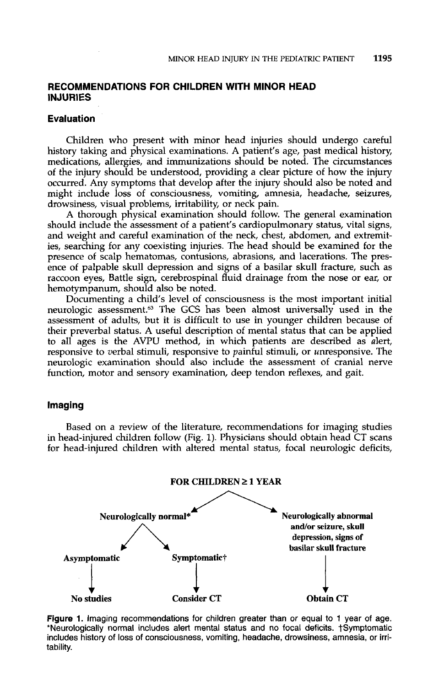# **RECOMMENDATIONS FOR CHILDREN WITH MINOR HEAD INJURIES**

### **Evaluation**

Children who present with minor head injuries should undergo careful history taking and physical examinations. A patient's age, past medical history, medications, allergies, and immunizations should be noted. The circumstances of the injury should be understood, providing a clear picture of how the injury occurred. Any symptoms that develop after the injury should also be noted and might include loss of consciousness, vomiting, amnesia, headache, seizures, drowsiness, visual problems, irritability, or neck pain.

A thorough physical examination should follow. The general examination should include the assessment of a patient's cardiopulmonary status, vital signs, and weight and careful examination of the neck, chest, abdomen, and extremities, searching for any coexisting injuries. The head should be examined for the presence of scalp hematomas, contusions, abrasions, and lacerations. The presence of palpable skull depression and signs of a basilar skull fracture, such as raccoon eyes, Battle sign, cerebrospinal fluid drainage from the nose or ear, or hemotympanum, should also be noted.

Documenting a child's level of consciousness is the most important initial neurologic assessment.63 The GCS has been almost universally used in the assessment of adults, but it is difficult to use in younger children because of their preverbal status. A useful description of mental status that can be applied to all ages is the **AVPU** method, in which patients are described as alert, responsive to verbal stimuli, responsive to painful stimuli, or unresponsive. The neurologic examination should also include the assessment of cranial nerve function, motor and sensory examination, deep tendon reflexes, and gait.

# **Imaging**

Based on a review of the literature, recommendations for imaging studies in head-injured children follow (Fig. 1). Physicians should obtain head CT scans for head-injured children with altered mental status, focal neurologic deficits,



Figure 1. Imaging recommendations for children greater than or equal to 1 year of age. \*Neurologically normal includes alert mental status and no focal deficits. †Symptomatic includes history of loss of consciousness, vomiting, headache, drowsiness, amnesia, or irritability.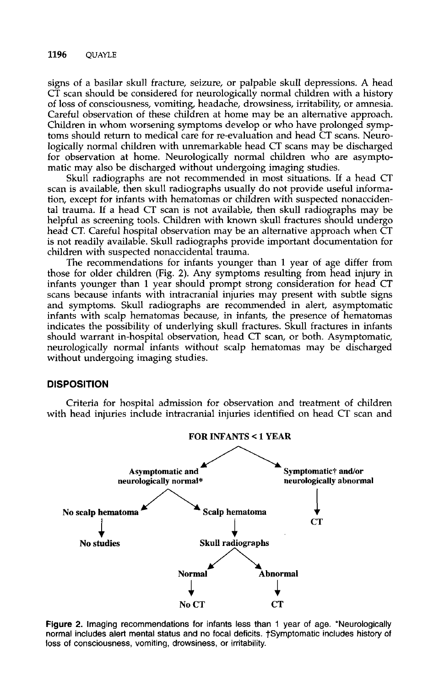signs of a basilar skull fracture, seizure, or palpable skull depressions. A head CT scan should be considered for neurologically normal children with a history of loss of consciousness, vomiting, headache, drowsiness, irritability, or amnesia. Careful observation of these children at home may be an alternative approach. Children in whom worsening symptoms develop or who have prolonged symptoms should return to medical care for re-evaluation and head CT scans. Neurologically normal children with unremarkable head CT scans may be discharged for observation at home. Neurologically normal children who are asymptomatic may also be discharged without undergoing imaging studies.

**Skull** radiographs are not recommended in most situations. If a head CT scan is available, then skull radiographs usually do not provide useful information, except for infants with hematomas or children with suspected nonaccidental trauma. If a head CT scan is not available, then skull radiographs may be helpful as screening tools. Children with known skull fractures should undergo head CT. Careful hospital observation may be an alternative approach when CT is not readily available. Skull radiographs provide important documentation for children with suspected nonaccidental trauma.

The recommendations for infants younger than 1 year of age differ from those for older children (Fig. 2). Any symptoms resulting from head injury in infants younger than 1 year should prompt strong consideration for head CT scans because infants with intracranial injuries may present with subtle signs and symptoms. Skull radiographs are recommended in alert, asymptomatic infants with scalp hematomas because, in infants, the presence of hematomas indicates the possibility of underlying skull fractures. Skull fractures in infants should warrant in-hospital observation, head CT scan, or both. Asymptomatic, neurologically normal infants without scalp hematomas may be discharged without undergoing imaging studies.

## **DISPOSITION**

Criteria for hospital admission for observation and treatment of children with head injuries include intracranial injuries identified on head CT scan and



**Figure 2.** Imaging recommendations for infants less than 1 year of age. 'Neurologically normal includes alert mental status and no focal deficits. †Symptomatic includes history of **loss** of consciousness, vomiting, drowsiness, or irritability.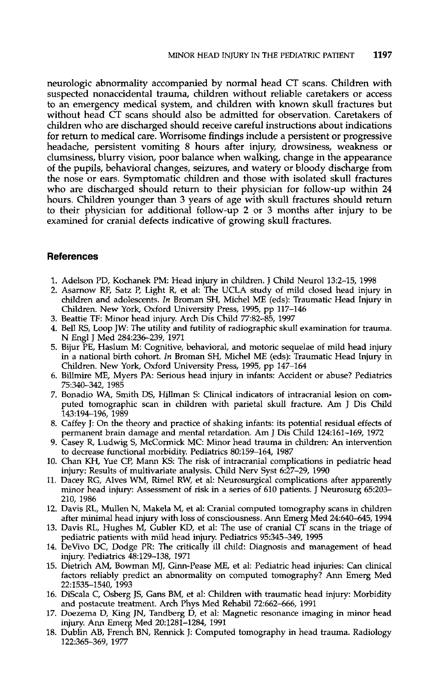neurologic abnormality accompanied by normal head CT scans. Children with suspected nonaccidental trauma, children without reliable caretakers or access to an emergency medical system, and children with known skull fractures but without head CT scans should also be admitted for observation. Caretakers of children who are discharged should receive careful instructions about indications for return to medical care. Worrisome findings include a persistent or progressive headache, persistent vomiting 8 hours after injury, drowsiness, weakness or clumsiness, blurry vision, poor balance when walking, change in the appearance of the pupils, behavioral changes, seizures, and watery or bloody discharge from the nose or ears. Symptomatic children and those with isolated skull fractures who are discharged should return to their physician for follow-up within **24**  hours. Children younger than **3** years of age with skull fractures should return to their physician for additional follow-up **2** or **3** months after injury to be examined for cranial defects indicative of growing skull fractures.

# **References**

- 1. Adelson PD, Kochanek PM: Head injury in children. J Child Neurol 13:2-15, 1998
- 2. Asamow RF, Satz **P,** Light R, et al: The UCLA study of mild closed head injury in children and adolescents. *In* Broman SH, Michel ME (eds): Traumatic Head Injury in Children. New York, Oxford University Press, 1995, pp 117-146
- 3. Beattie TF: Minor head injury. Arch Dis Child 77:82-85, 1997
- 4. Bell RS, Loop JW: The utility and futility of radiographic skull examination for trauma. N Engl J Med 284:236-239, 1971
- 5. Bijur PE, Haslum M: Cognitive, behavioral, and motoric sequelae of mild head injury in a national birth cohort. *In* Broman SH, Michel ME (eds): Traumatic Head Injury in Children. New York, Oxford University Press, 1995, pp 147-164
- 6. Billmire ME, Myers PA: Serious head injury in infants: Accident or abuse? Pediatrics 75:340-342, 1985
- 7. Bonadio WA, Smith DS, Hillman S: Clinical indicators of intracranial lesion on computed tomographic scan in children with parietal skull fracture. Am J Dis Child 143194-196, 1989
- 8. Caffey J: On the theory and practice of shaking infants: its potential residual effects of permanent brain damage and mental retardation. Am J Dis Child 124161-169, 1972
- 9. Casey R, Ludwig *S,* McCormick MC: Minor head trauma in children: An intervention to decrease functional morbidity. Pediatrics 80:159-164, 1987
- 10. Chan KH, Yue CP, Mann KS: The risk of intracranial complications in pediatric head injury: Results of multivariate analysis. Child Nerv Syst 6:27-29, 1990
- 11. Dacey RG, Alves WM, Rimel RW, et al: Neurosurgical complications after apparently minor head injury: Assessment of risk in a series of 610 patients. J Neurosurg 65203- 210, 1986
- 12. Davis RL, Mullen N, Makela M, et al: Cranial computed tomography scans in children after minimal head injury with loss of consciousness. Ann Emerg Med 24:640-645, 1994
- 13. Davis RL, Hughes M, Gubler KD, et al: The use **of** cranial CT scans in the triage of pediatric patients with mild head injury. Pediatrics 95:345-349, 1995
- 14. DeVivo DC, Dodge PR: The critically ill child: Diagnosis and management of head injury. Pediatrics 48:129-138, 1971
- 15. Dietrich AM, Bowman MJ, Ginn-Pease ME, et al: Pediatric head injuries: Can clinical factors reliably predict an abnormality on computed tomography? Ann Emerg Med 22:1535-1540, 1993
- 16. DiScala C, Osberg JS, Gans BM, et al: Children with traumatic head injury: Morbidity and postacute treatment. Arch Phys Med Rehabil 72:662-666, 1991
- 17. Doezema D, King JN, Tandberg D, et al: Magnetic resonance imaging in minor head injury. *Ann* Emerg Med 20:1281-1284, 1991
- 18. Dublin AB, French BN, Rennick J: Computed tomography in head trauma. Radiology 122:365-369, 1977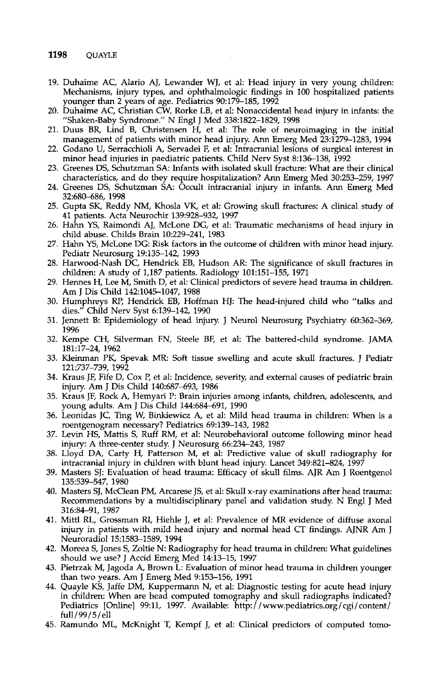- 19. Duhaime AC, Alario AJ, Lewander WJ, et al: Head injury in very young children: Mechanisms, injury types, and ophthalmologic findings in 100 hospitalized patients younger than 2 years of age. Pediatrics 90:179-185, 1992
- 20. Duhaime AC, Christian CW, Rorke LB, et al: Nonaccidental head injury in infants: the "Shaken-Baby Syndrome." N Engl J Med 338:1822-1829, 1998
- 21. Duus BR, Lind *8,* Christensen H, et al: The role of neuroimaging in the initial management of patients with minor head injury. Ann Emerg Med 23:1279-1283,1994
- 22. Godano **U,** Serracchioli A, Servadei F, et al: Intracranial lesions of surgical interest in minor head injuries in paediatric patients. Child Nerv Syst 8:136-138, 1992
- 23. Greenes DS, Schutzman SA: Infants with isolated skull fracture: What are their clinical characteristics, and do they require hospitalization? *Ann* Emerg Med 30253-259, 1997
- 24. Greenes DS, Schutzman *SA.* Occult intracranial injury in infants. Ann Emerg Med 32:680-686, 1998
- 25. Gupta SK, Reddy NM, Khosla VK, et al: Growing skull fractures: A clinical study of 41 patients. Acta Neurochir 139:928-932, 1997
- 26. Hahn YS, Raimondi AJ, McLone DG, et al: Traumatic mechanisms of head injury in child abuse. Childs Brain 10:229-241, 1983
- 27. Hahn YS, McLone DG: Risk factors in the outcome of children with minor head injury. Pediatr Neurosurg 19:135-142, 1993
- 28. Harwood-Nash DC, Hendrick EB, Hudson AR: The significance of skull fractures in children: A study of 1,187 patients. Radiology 101:151-155, 1971
- 29. Hennes H, Lee M, Smith D, et al: Clinical predictors of severe head trauma in children. Am J Dis Child 1421045-1047, 1988
- 30. Humphreys RP, Hendrick EB, Hoffman HJ: The head-injured child who "talks and dies." Child Nerv Syst 6:139-142, 1990
- 31. Jennett B: Epidemiology of head injury. J Neurol Neurosurg Psychiatry 60:362-369, 1996
- 32. Kempe CH, Silverman FN, Steele BF, et al: The battered-child syndrome. JAMA 181~17-24, 1962
- 33. Kleinman PK, Spevak *MR:* Soft tissue swelling and acute skull fractures. J Pediatr 121:737-739, 1992
- 34. Kraus JF, Fife D, Cox **P,** et al: Incidence, severity, and external causes **of** pediatric brain injury. Am J Dis Child 140:687-693, 1986
- 35. Kraus JF, Rock **A,** Hemyari **P:** Brain injuries among infants, children, adolescents, and young adults. Am J Dis Child 144:684-691, 1990
- 36. Leonidas JC, Ting W, Binkiewicz A, et al: Mild head trauma in children: When is a roentgenogram necessary? Pediatrics 69:139-143, 1982
- 37. Levin HS, Mattis S, Ruff RM, et al: Neurobehavioral outcome following minor head injury: A three-center study. J Neurosurg 66:234-243, 1987
- 38. Lloyd DA, Carty H, Patterson M, et al: Predictive value of skull radiography for intracranial injury in children with blunt head injury. Lancet 349:821-824, 1997
- 39. Masters SJ: Evaluation of head trauma: Efficacy of skull films. AJR **Am** J Roentgen01 135:539-547, 1980
- 40. Masters SJ, McClean PM, Arcarese JS, et al: Skull x-ray examinations after head trauma: Recommendations by a multidisciplinary panel and validation study. N Engl J Med 316:84-91, 1987
- 41. Mitt1 RL, Grossman **RI,** Hiehle J, et al: Prevalence of MR evidence of diffuse axonal injury in patients with mild head injury and normal head CT findings. AJNR Am J Neuroradiol 15:1583-1589, 1994
- 42. Moreea S, Jones S, Zoltie N: Radiography for head trauma in children: What guidelines should we use? J Accid Emerg Med 14:13-15, 1997
- 43. Pietrzak M, Jagoda **A,** Brown L: Evaluation of minor head trauma in children younger than two years. **Am** J Emerg Med 9:153-156, 1991
- **44.** Quayle KS, Jaffe DM, Kuppermann N, et al: Diagnostic testing for acute head injury in children: When are head computed tomography and skull radiographs indicated? Pediatrics [Online] 99:11, 1997. Available: http://www.pediatrics.org/cgi/content/ full / 99/5/ ell
- 45. Ramundo ML, McKnight T, Kempf J, et al: Clinical predictors of computed tomo-